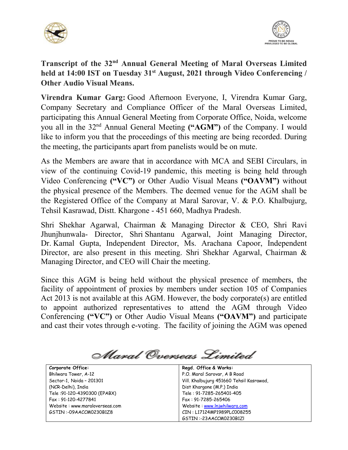



**Transcript of the 32nd Annual General Meeting of Maral Overseas Limited held at 14:00 IST on Tuesday 31st August, 2021 through Video Conferencing / Other Audio Visual Means.**

**Virendra Kumar Garg:** Good Afternoon Everyone, I, Virendra Kumar Garg, Company Secretary and Compliance Officer of the Maral Overseas Limited, participating this Annual General Meeting from Corporate Office, Noida, welcome you all in the 32nd Annual General Meeting **("AGM")** of the Company. I would like to inform you that the proceedings of this meeting are being recorded. During the meeting, the participants apart from panelists would be on mute.

As the Members are aware that in accordance with MCA and SEBI Circulars, in view of the continuing Covid-19 pandemic, this meeting is being held through Video Conferencing **("VC")** or Other Audio Visual Means **("OAVM")** without the physical presence of the Members. The deemed venue for the AGM shall be the Registered Office of the Company at Maral Sarovar, V. & P.O. Khalbujurg, Tehsil Kasrawad, Distt. Khargone - 451 660, Madhya Pradesh.

Shri Shekhar Agarwal, Chairman & Managing Director & CEO, Shri Ravi Jhunjhunwala- Director, Shri Shantanu Agarwal, Joint Managing Director, Dr. Kamal Gupta, Independent Director, Ms. Arachana Capoor, Independent Director, are also present in this meeting. Shri Shekhar Agarwal, Chairman & Managing Director, and CEO will Chair the meeting.

Since this AGM is being held without the physical presence of members, the facility of appointment of proxies by members under section 105 of Companies Act 2013 is not available at this AGM. However, the body corporate(s) are entitled to appoint authorized representatives to attend the AGM through Video Conferencing **("VC")** or Other Audio Visual Means **("OAVM")** and participate and cast their votes through e-voting. The facility of joining the AGM was opened

Maral Overseas Limited

| Corporate Office:              | Regd. Office & Works:                    |
|--------------------------------|------------------------------------------|
| Bhilwara Tower, A-12           | P.O. Maral Sarovar, A B Road             |
| Sector-1, Noida - 201301       | Vill. Khalbujurg 451660 Tehsil Kasrawad, |
| (NCR-Delhi), India             | Dist Khargone (M.P.) India               |
| Tele: 91-120-4390300 (EPABX)   | Tele: 91-7285-265401-405                 |
| Fax: 91-120-4277841            | Fax: 91-7285-265406                      |
| Website: www.maraloverseas.com | Website: www.lnjwhilwara.com             |
| GSTIN:-09AACCM0230B1Z8         | CIN: L17124MP1989PLC008255               |
|                                | GSTIN:-23AACCM0230B1ZL                   |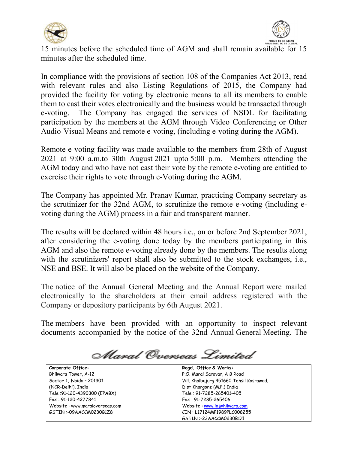



15 minutes before the scheduled time of AGM and shall remain available for 15 minutes after the scheduled time.

In compliance with the provisions of section 108 of the Companies Act 2013, read with relevant rules and also Listing Regulations of 2015, the Company had provided the facility for voting by electronic means to all its members to enable them to cast their votes electronically and the business would be transacted through e-voting. The Company has engaged the services of NSDL for facilitating participation by the members at the AGM through Video Conferencing or Other Audio-Visual Means and remote e-voting, (including e-voting during the AGM).

Remote e-voting facility was made available to the members from 28th of August 2021 at 9:00 a.m.to 30th August 2021 upto 5:00 p.m. Members attending the AGM today and who have not cast their vote by the remote e-voting are entitled to exercise their rights to vote through e-Voting during the AGM.

The Company has appointed Mr. Pranav Kumar, practicing Company secretary as the scrutinizer for the 32nd AGM, to scrutinize the remote e-voting (including evoting during the AGM) process in a fair and transparent manner.

The results will be declared within 48 hours i.e., on or before 2nd September 2021, after considering the e-voting done today by the members participating in this AGM and also the remote e-voting already done by the members. The results along with the scrutinizers' report shall also be submitted to the stock exchanges, i.e., NSE and BSE. It will also be placed on the website of the Company.

The notice of the Annual General Meeting and the Annual Report were mailed electronically to the shareholders at their email address registered with the Company or depository participants by 6th August 2021.

The members have been provided with an opportunity to inspect relevant documents accompanied by the notice of the 32nd Annual General Meeting. The

Maral Overseas Limited

| Corporate Office:              | Regd. Office & Works:                    |
|--------------------------------|------------------------------------------|
| Bhilwara Tower, A-12           | P.O. Maral Sarovar, A B Road             |
| Sector-1, Noida - 201301       | Vill. Khalbujurg 451660 Tehsil Kasrawad, |
| (NCR-Delhi), India             | Dist Khargone (M.P.) India               |
| Tele: 91-120-4390300 (EPABX)   | Tele: 91-7285-265401-405                 |
| Fax: 91-120-4277841            | Fax: 91-7285-265406                      |
| Website: www.maraloverseas.com | Website: www.lnjwhilwara.com             |
| GSTIN:-09AACCM0230B1Z8         | CIN: L17124MP1989PLC008255               |
|                                | GSTIN:-23AACCM0230B1ZI                   |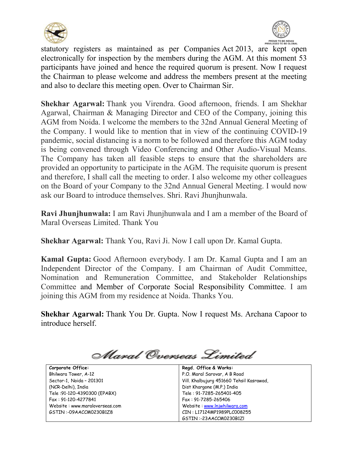



statutory registers as maintained as per Companies Act 2013, are kept open electronically for inspection by the members during the AGM. At this moment 53 participants have joined and hence the required quorum is present. Now I request the Chairman to please welcome and address the members present at the meeting and also to declare this meeting open. Over to Chairman Sir.

**Shekhar Agarwal:** Thank you Virendra. Good afternoon, friends. I am Shekhar Agarwal, Chairman & Managing Director and CEO of the Company, joining this AGM from Noida. I welcome the members to the 32nd Annual General Meeting of the Company. I would like to mention that in view of the continuing COVID-19 pandemic, social distancing is a norm to be followed and therefore this AGM today is being convened through Video Conferencing and Other Audio-Visual Means. The Company has taken all feasible steps to ensure that the shareholders are provided an opportunity to participate in the AGM. The requisite quorum is present and therefore, I shall call the meeting to order. I also welcome my other colleagues on the Board of your Company to the 32nd Annual General Meeting. I would now ask our Board to introduce themselves. Shri. Ravi Jhunjhunwala.

**Ravi Jhunjhunwala:** I am Ravi Jhunjhunwala and I am a member of the Board of Maral Overseas Limited. Thank You

**Shekhar Agarwal:** Thank You, Ravi Ji. Now I call upon Dr. Kamal Gupta.

**Kamal Gupta:** Good Afternoon everybody. I am Dr. Kamal Gupta and I am an Independent Director of the Company. I am Chairman of Audit Committee, Nomination and Remuneration Committee, and Stakeholder Relationships Committee and Member of Corporate Social Responsibility Committee. I am joining this AGM from my residence at Noida. Thanks You.

**Shekhar Agarwal:** Thank You Dr. Gupta. Now I request Ms. Archana Capoor to introduce herself.

Maral Overseas Limited

| Corporate Office:              | Regd. Office & Works:                    |
|--------------------------------|------------------------------------------|
| Bhilwara Tower, A-12           | P.O. Maral Sarovar, A B Road             |
| Sector-1, Noida - 201301       | Vill. Khalbujurg 451660 Tehsil Kasrawad, |
| (NCR-Delhi), India             | Dist Khargone (M.P.) India               |
| Tele: 91-120-4390300 (EPABX)   | Tele: 91-7285-265401-405                 |
| Fax: 91-120-4277841            | Fax: 91-7285-265406                      |
| Website: www.maraloverseas.com | Website: www.lnjwhilwara.com             |
| GSTIN:-09AACCM0230B1Z8         | CIN: L17124MP1989PLC008255               |
|                                | GSTIN:-23AACCM0230B1ZI                   |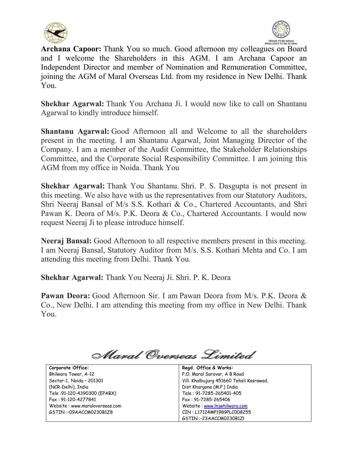



**Archana Capoor:** Thank You so much. Good afternoon my colleagues on Board and I welcome the Shareholders in this AGM. I am Archana Capoor an Independent Director and member of Nomination and Remuneration Committee, joining the AGM of Maral Overseas Ltd. from my residence in New Delhi. Thank You.

**Shekhar Agarwal:** Thank You Archana Ji. I would now like to call on Shantanu Agarwal to kindly introduce himself.

**Shantanu Agarwal:** Good Afternoon all and Welcome to all the shareholders present in the meeting. I am Shantanu Agarwal, Joint Managing Director of the Company. I am a member of the Audit Committee, the Stakeholder Relationships Committee, and the Corporate Social Responsibility Committee. I am joining this AGM from my office in Noida. Thank You

**Shekhar Agarwal:** Thank You Shantanu. Shri. P. S. Dasgupta is not present in this meeting. We also have with us the representatives from our Statutory Auditors, Shri Neeraj Bansal of M/s S.S. Kothari & Co., Chartered Accountants, and Shri Pawan K. Deora of M/s. P.K. Deora & Co., Chartered Accountants. I would now request Neeraj Ji to please introduce himself.

**Neeraj Bansal:** Good Afternoon to all respective members present in this meeting. I am Neeraj Bansal, Statutory Auditor from M/s. S.S. Kothari Mehta and Co. I am attending this meeting from Delhi. Thank You.

**Shekhar Agarwal:** Thank You Neeraj Ji. Shri. P. K. Deora

**Pawan Deora:** Good Afternoon Sir. I am Pawan Deora from M/s. P.K. Deora & Co., New Delhi. I am attending this meeting from my office in New Delhi. Thank You.

Maral Overseas Limited

| Corporate Office:              | Regd. Office & Works:                    |
|--------------------------------|------------------------------------------|
| Bhilwara Tower, A-12           | P.O. Maral Sarovar, A B Road             |
| Sector-1, Noida - 201301       | Vill. Khalbujurg 451660 Tehsil Kasrawad, |
| (NCR-Delhi), India             | Dist Khargone (M.P.) India               |
| Tele: 91-120-4390300 (EPABX)   | Tele: 91-7285-265401-405                 |
| Fax: 91-120-4277841            | Fax: 91-7285-265406                      |
| Website: www.maraloverseas.com | Website: www.lnjwhilwara.com             |
| GSTIN :-09AACCM0230B1Z8        | CIN: L17124MP1989PLC008255               |
|                                | GSTIN:-23AACCM0230B1ZI                   |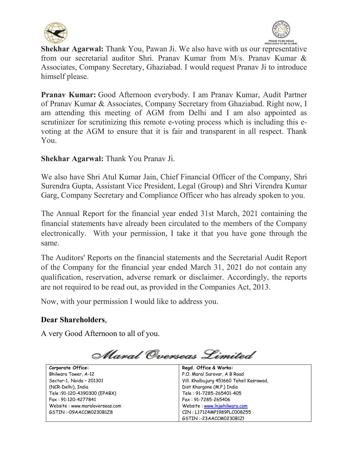



**Shekhar Agarwal:** Thank You, Pawan Ji. We also have with us our representative from our secretarial auditor Shri. Pranav Kumar from M/s. Pranav Kumar & Associates, Company Secretary, Ghaziabad. I would request Pranav Ji to introduce himself please.

**Pranav Kumar:** Good Afternoon everybody. I am Pranav Kumar, Audit Partner of Pranav Kumar & Associates, Company Secretary from Ghaziabad. Right now, I am attending this meeting of AGM from Delhi and I am also appointed as scrutinizer for scrutinizing this remote e-voting process which is including this evoting at the AGM to ensure that it is fair and transparent in all respect. Thank You.

# **Shekhar Agarwal:** Thank You Pranav Ji.

We also have Shri Atul Kumar Jain, Chief Financial Officer of the Company, Shri Surendra Gupta, Assistant Vice President, Legal (Group) and Shri Virendra Kumar Garg, Company Secretary and Compliance Officer who has already spoken to you.

The Annual Report for the financial year ended 31st March, 2021 containing the financial statements have already been circulated to the members of the Company electronically. With your permission, I take it that you have gone through the same.

The Auditors' Reports on the financial statements and the Secretarial Audit Report of the Company for the financial year ended March 31, 2021 do not contain any qualification, reservation, adverse remark or disclaimer. Accordingly, the reports are not required to be read out, as provided in the Companies Act, 2013.

Now, with your permission I would like to address you.

## **Dear Shareholders**,

A very Good Afternoon to all of you.

Maral Overseas Limited

| Corporate Office:              | Regd. Office & Works:                    |
|--------------------------------|------------------------------------------|
| Bhilwara Tower, A-12           | P.O. Maral Sarovar, A B Road             |
| Sector-1, Noida - 201301       | Vill. Khalbujurg 451660 Tehsil Kasrawad, |
| (NCR-Delhi), India             | Dist Khargone (M.P.) India               |
| Tele: 91-120-4390300 (EPABX)   | Tele: 91-7285-265401-405                 |
| Fax: 91-120-4277841            | Fax: 91-7285-265406                      |
| Website: www.maraloverseas.com | Website: www.lnjwhilwara.com             |
| GSTIN:-09AACCM0230B1Z8         | CIN: L17124MP1989PLC008255               |
|                                | GSTIN:-23AACCM0230B1ZI                   |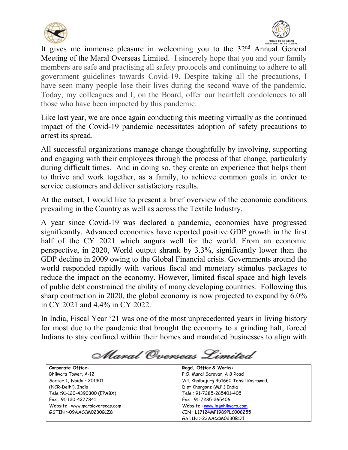



It gives me immense pleasure in welcoming you to the 32<sup>nd</sup> Annual General Meeting of the Maral Overseas Limited. I sincerely hope that you and your family members are safe and practising all safety protocols and continuing to adhere to all government guidelines towards Covid-19. Despite taking all the precautions, I have seen many people lose their lives during the second wave of the pandemic. Today, my colleagues and I, on the Board, offer our heartfelt condolences to all those who have been impacted by this pandemic.

Like last year, we are once again conducting this meeting virtually as the continued impact of the Covid-19 pandemic necessitates adoption of safety precautions to arrest its spread.

All successful organizations manage change thoughtfully by involving, supporting and engaging with their employees through the process of that change, particularly during difficult times. And in doing so, they create an experience that helps them to thrive and work together, as a family, to achieve common goals in order to service customers and deliver satisfactory results.

At the outset, I would like to present a brief overview of the economic conditions prevailing in the Country as well as across the Textile Industry.

A year since Covid-19 was declared a pandemic, economies have progressed significantly. Advanced economies have reported positive GDP growth in the first half of the CY 2021 which augurs well for the world. From an economic perspective, in 2020, World output shrank by 3.3%, significantly lower than the GDP decline in 2009 owing to the Global Financial crisis. Governments around the world responded rapidly with various fiscal and monetary stimulus packages to reduce the impact on the economy. However, limited fiscal space and high levels of public debt constrained the ability of many developing countries. Following this sharp contraction in 2020, the global economy is now projected to expand by 6.0% in CY 2021 and 4.4% in CY 2022.

In India, Fiscal Year '21 was one of the most unprecedented years in living history for most due to the pandemic that brought the economy to a grinding halt, forced Indians to stay confined within their homes and mandated businesses to align with

Maral Overseas Limited

| Corporate Office:              | Regd. Office & Works:                    |
|--------------------------------|------------------------------------------|
| Bhilwara Tower, A-12           | P.O. Maral Sarovar, A B Road             |
| Sector-1, Noida - 201301       | Vill. Khalbujurg 451660 Tehsil Kasrawad, |
| (NCR-Delhi), India             | Dist Khargone (M.P.) India               |
| Tele: 91-120-4390300 (EPABX)   | Tele: 91-7285-265401-405                 |
| Fax: 91-120-4277841            | Fax: 91-7285-265406                      |
| Website: www.maraloverseas.com | Website: www.lnjwhilwara.com             |
| GSTIN:-09AACCM0230B1Z8         | CIN: L17124MP1989PLC008255               |
|                                | GSTIN:-23AACCM0230B1ZI                   |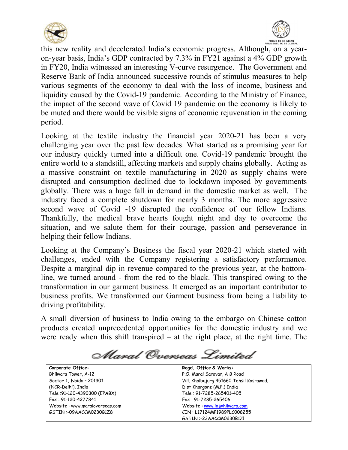



this new reality and decelerated India's economic progress. Although, on a yearon-year basis, India's GDP contracted by 7.3% in FY21 against a 4% GDP growth in FY20, India witnessed an interesting V-curve resurgence. The Government and Reserve Bank of India announced successive rounds of stimulus measures to help various segments of the economy to deal with the loss of income, business and liquidity caused by the Covid-19 pandemic. According to the Ministry of Finance, the impact of the second wave of Covid 19 pandemic on the economy is likely to be muted and there would be visible signs of economic rejuvenation in the coming period.

Looking at the textile industry the financial year 2020-21 has been a very challenging year over the past few decades. What started as a promising year for our industry quickly turned into a difficult one. Covid-19 pandemic brought the entire world to a standstill, affecting markets and supply chains globally. Acting as a massive constraint on textile manufacturing in 2020 as supply chains were disrupted and consumption declined due to lockdown imposed by governments globally. There was a huge fall in demand in the domestic market as well. The industry faced a complete shutdown for nearly 3 months. The more aggressive second wave of Covid -19 disrupted the confidence of our fellow Indians. Thankfully, the medical brave hearts fought night and day to overcome the situation, and we salute them for their courage, passion and perseverance in helping their fellow Indians.

Looking at the Company's Business the fiscal year 2020-21 which started with challenges, ended with the Company registering a satisfactory performance. Despite a marginal dip in revenue compared to the previous year, at the bottomline, we turned around - from the red to the black. This transpired owing to the transformation in our garment business. It emerged as an important contributor to business profits. We transformed our Garment business from being a liability to driving profitability.

A small diversion of business to India owing to the embargo on Chinese cotton products created unprecedented opportunities for the domestic industry and we were ready when this shift transpired  $-$  at the right place, at the right time. The

Maral Overseas Limited

| Corporate Office:              | Regd. Office & Works:                    |
|--------------------------------|------------------------------------------|
| Bhilwara Tower, A-12           | P.O. Maral Sarovar, A B Road             |
| Sector-1, Noida - 201301       | Vill. Khalbujurg 451660 Tehsil Kasrawad, |
| (NCR-Delhi), India             | Dist Khargone (M.P.) India               |
| Tele: 91-120-4390300 (EPABX)   | Tele: 91-7285-265401-405                 |
| Fax: 91-120-4277841            | Fax: 91-7285-265406                      |
| Website: www.maraloverseas.com | Website: www.lnjwhilwara.com             |
| GSTIN:-09AACCM0230B1Z8         | CIN: L17124MP1989PLC008255               |
|                                | GSTIN:-23AACCM0230B1ZI                   |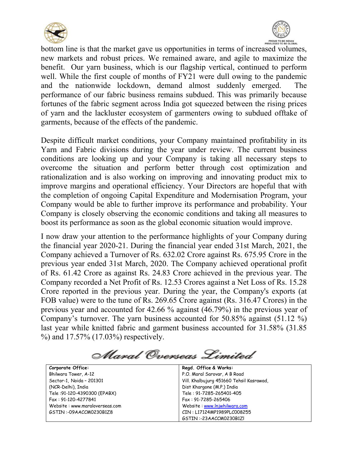



bottom line is that the market gave us opportunities in terms of increased volumes, new markets and robust prices. We remained aware, and agile to maximize the benefit. Our yarn business, which is our flagship vertical, continued to perform well. While the first couple of months of FY21 were dull owing to the pandemic and the nationwide lockdown, demand almost suddenly emerged. The performance of our fabric business remains subdued. This was primarily because fortunes of the fabric segment across India got squeezed between the rising prices of yarn and the lackluster ecosystem of garmenters owing to subdued offtake of garments, because of the effects of the pandemic.

Despite difficult market conditions, your Company maintained profitability in its Yarn and Fabric divisions during the year under review. The current business conditions are looking up and your Company is taking all necessary steps to overcome the situation and perform better through cost optimization and rationalization and is also working on improving and innovating product mix to improve margins and operational efficiency. Your Directors are hopeful that with the completion of ongoing Capital Expenditure and Modernisation Program, your Company would be able to further improve its performance and probability. Your Company is closely observing the economic conditions and taking all measures to boost its performance as soon as the global economic situation would improve.

I now draw your attention to the performance highlights of your Company during the financial year 2020-21. During the financial year ended 31st March, 2021, the Company achieved a Turnover of Rs. 632.02 Crore against Rs. 675.95 Crore in the previous year ended 31st March, 2020. The Company achieved operational profit of Rs. 61.42 Crore as against Rs. 24.83 Crore achieved in the previous year. The Company recorded a Net Profit of Rs. 12.53 Crores against a Net Loss of Rs. 15.28 Crore reported in the previous year. During the year, the Company's exports (at FOB value) were to the tune of Rs. 269.65 Crore against (Rs. 316.47 Crores) in the previous year and accounted for 42.66 % against (46.79%) in the previous year of Company's turnover. The yarn business accounted for 50.85% against (51.12 %) last year while knitted fabric and garment business accounted for 31.58% (31.85 %) and 17.57% (17.03%) respectively.

Maral Overseas Limited

| Corporate Office:              | Regd. Office & Works:                    |
|--------------------------------|------------------------------------------|
| Bhilwara Tower, A-12           | P.O. Maral Sarovar, A B Road             |
| Sector-1, Noida - 201301       | Vill. Khalbujurg 451660 Tehsil Kasrawad, |
| (NCR-Delhi), India             | Dist Khargone (M.P.) India               |
| Tele: 91-120-4390300 (EPABX)   | Tele: 91-7285-265401-405                 |
| Fax: 91-120-4277841            | Fax: 91-7285-265406                      |
| Website: www.maraloverseas.com | Website: www.lnjwhilwara.com             |
| GSTIN:-09AACCM0230B1Z8         | CIN: L17124MP1989PLC008255               |
|                                | GSTIN:-23AACCM0230B1ZI                   |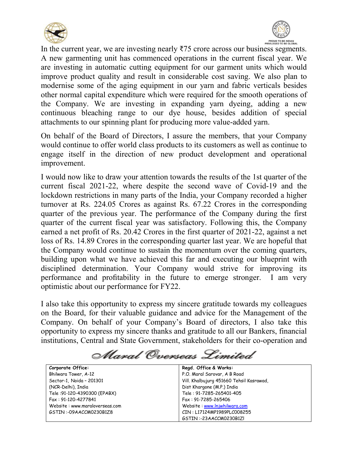



In the current year, we are investing nearly  $\overline{575}$  crore across our business segments. A new garmenting unit has commenced operations in the current fiscal year. We are investing in automatic cutting equipment for our garment units which would improve product quality and result in considerable cost saving. We also plan to modernise some of the aging equipment in our yarn and fabric verticals besides other normal capital expenditure which were required for the smooth operations of the Company. We are investing in expanding yarn dyeing, adding a new continuous bleaching range to our dye house, besides addition of special attachments to our spinning plant for producing more value-added yarn.

On behalf of the Board of Directors, I assure the members, that your Company would continue to offer world class products to its customers as well as continue to engage itself in the direction of new product development and operational improvement.

I would now like to draw your attention towards the results of the 1st quarter of the current fiscal 2021-22, where despite the second wave of Covid-19 and the lockdown restrictions in many parts of the India, your Company recorded a higher turnover at Rs. 224.05 Crores as against Rs. 67.22 Crores in the corresponding quarter of the previous year. The performance of the Company during the first quarter of the current fiscal year was satisfactory. Following this, the Company earned a net profit of Rs. 20.42 Crores in the first quarter of 2021-22, against a net loss of Rs. 14.89 Crores in the corresponding quarter last year. We are hopeful that the Company would continue to sustain the momentum over the coming quarters, building upon what we have achieved this far and executing our blueprint with disciplined determination. Your Company would strive for improving its performance and profitability in the future to emerge stronger. I am very optimistic about our performance for FY22.

I also take this opportunity to express my sincere gratitude towards my colleagues on the Board, for their valuable guidance and advice for the Management of the Company. On behalf of your Company's Board of directors, I also take this opportunity to express my sincere thanks and gratitude to all our Bankers, financial institutions, Central and State Government, stakeholders for their co-operation and

Maral Overseas Limited

| Corporate Office:              | Regd. Office & Works:                    |
|--------------------------------|------------------------------------------|
| Bhilwara Tower, A-12           | P.O. Maral Sarovar, A B Road             |
| Sector-1, Noida - 201301       | Vill. Khalbujurg 451660 Tehsil Kasrawad, |
| (NCR-Delhi), India             | Dist Khargone (M.P.) India               |
| Tele: 91-120-4390300 (EPABX)   | Tele: 91-7285-265401-405                 |
| Fax: 91-120-4277841            | Fax: 91-7285-265406                      |
| Website: www.maraloverseas.com | Website: www.lnjwhilwara.com             |
| GSTIN:-09AACCM0230B1Z8         | CIN: L17124MP1989PLC008255               |
|                                | GSTIN:-23AACCM0230B1ZI                   |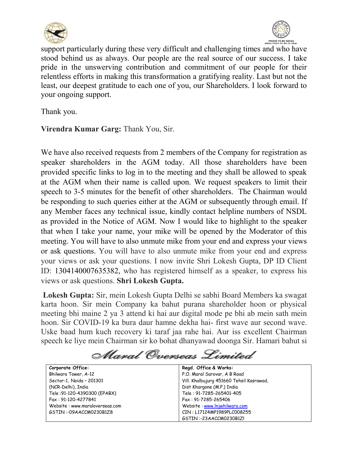



support particularly during these very difficult and challenging times and who have stood behind us as always. Our people are the real source of our success. I take pride in the unswerving contribution and commitment of our people for their relentless efforts in making this transformation a gratifying reality. Last but not the least, our deepest gratitude to each one of you, our Shareholders. I look forward to your ongoing support.

Thank you.

**Virendra Kumar Garg:** Thank You, Sir.

We have also received requests from 2 members of the Company for registration as speaker shareholders in the AGM today. All those shareholders have been provided specific links to log in to the meeting and they shall be allowed to speak at the AGM when their name is called upon. We request speakers to limit their speech to 3-5 minutes for the benefit of other shareholders. The Chairman would be responding to such queries either at the AGM or subsequently through email. If any Member faces any technical issue, kindly contact helpline numbers of NSDL as provided in the Notice of AGM. Now I would like to highlight to the speaker that when I take your name, your mike will be opened by the Moderator of this meeting. You will have to also unmute mike from your end and express your views or ask questions. You will have to also unmute mike from your end and express your views or ask your questions. I now invite Shri Lokesh Gupta, DP ID Client ID: 1304140007635382, who has registered himself as a speaker, to express his views or ask questions. **Shri Lokesh Gupta.**

**Lokesh Gupta:** Sir, mein Lokesh Gupta Delhi se sabhi Board Members ka swagat karta hoon. Sir mein Company ka bahut purana shareholder hoon or physical meeting bhi maine 2 ya 3 attend ki hai aur digital mode pe bhi ab mein sath mein hoon. Sir COVID-19 ka bura daur hamne dekha hai- first wave aur second wave. Uske baad hum kuch recovery ki taraf jaa rahe hai. Aur iss excellent Chairman speech ke liye mein Chairman sir ko bohat dhanyawad doonga Sir. Hamari bahut si

Alaral Overseas Limited

| Corporate Office:              | Regd. Office & Works:                    |
|--------------------------------|------------------------------------------|
| Bhilwara Tower, A-12           | P.O. Maral Sarovar, A B Road             |
| Sector-1, Noida - 201301       | Vill. Khalbujurg 451660 Tehsil Kasrawad, |
| (NCR-Delhi), India             | Dist Khargone (M.P.) India               |
| Tele: 91-120-4390300 (EPABX)   | Tele: 91-7285-265401-405                 |
| Fax: 91-120-4277841            | Fax: 91-7285-265406                      |
| Website: www.maraloverseas.com | Website: www.lnjwhilwara.com             |
| GSTIN:-09AACCM0230B1Z8         | CIN: L17124MP1989PLC008255               |
|                                | GSTIN:-23AACCM0230B1ZI                   |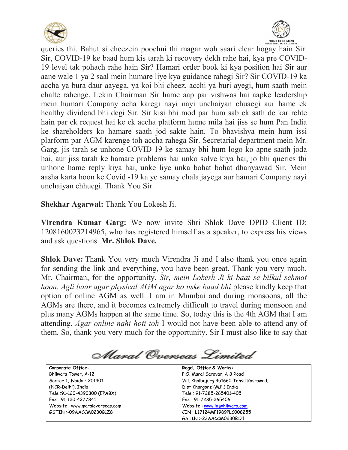



queries thi. Bahut si cheezein poochni thi magar woh saari clear hogay hain Sir. Sir, COVID-19 ke baad hum kis tarah ki recovery dekh rahe hai, kya pre COVID-19 level tak pohach rahe hain Sir? Hamari order book ki kya position hai Sir aur aane wale 1 ya 2 saal mein humare liye kya guidance rahegi Sir? Sir COVID-19 ka accha ya bura daur aayega, ya koi bhi cheez, acchi ya buri ayegi, hum saath mein chalte rahenge. Lekin Chairman Sir hame aap par vishwas hai aapke leadership mein humari Company acha karegi nayi nayi unchaiyan chuaegi aur hame ek healthy dividend bhi degi Sir. Sir kisi bhi mod par hum sab ek sath de kar rehte hain par ek request hai ke ek accha platform hume mila hai jiss se hum Pan India ke shareholders ko hamare saath jod sakte hain. To bhavishya mein hum issi plarform par AGM karenge toh accha rahega Sir. Secretarial department mein Mr. Garg, jis tarah se unhone COVID-19 ke samay bhi hum logo ko apne saath joda hai, aur jiss tarah ke hamare problems hai unko solve kiya hai, jo bhi queries thi unhone hame reply kiya hai, unke liye unka bohat bohat dhanyawad Sir. Mein aasha karta hoon ke Covid -19 ka ye samay chala jayega aur hamari Company nayi unchaiyan chhuegi. Thank You Sir.

**Shekhar Agarwal:** Thank You Lokesh Ji.

**Virendra Kumar Garg:** We now invite Shri Shlok Dave DPID Client ID: 1208160023214965, who has registered himself as a speaker, to express his views and ask questions. **Mr. Shlok Dave.**

**Shlok Dave:** Thank You very much Virendra Ji and I also thank you once again for sending the link and everything, you have been great. Thank you very much, Mr. Chairman, for the opportunity. *Sir, mein Lokesh Ji ki baat se bilkul sehmat hoon. Agli baar agar physical AGM agar ho uske baad bhi* please kindly keep that option of online AGM as well. I am in Mumbai and during monsoons, all the AGMs are there, and it becomes extremely difficult to travel during monsoon and plus many AGMs happen at the same time. So, today this is the 4th AGM that I am attending. *Agar online nahi hoti toh* I would not have been able to attend any of them. So, thank you very much for the opportunity. Sir I must also like to say that

Maral Overseas Limited

| Corporate Office:              | Regd. Office & Works:                    |
|--------------------------------|------------------------------------------|
| Bhilwara Tower, A-12           | P.O. Maral Sarovar, A B Road             |
| Sector-1, Noida - 201301       | Vill. Khalbujurg 451660 Tehsil Kasrawad, |
| (NCR-Delhi), India             | Dist Khargone (M.P.) India               |
| Tele: 91-120-4390300 (EPABX)   | Tele: 91-7285-265401-405                 |
| Fax: 91-120-4277841            | Fax: 91-7285-265406                      |
| Website: www.maraloverseas.com | Website: www.lnjwhilwara.com             |
| GSTIN:-09AACCM0230B1Z8         | CIN: L17124MP1989PLC008255               |
|                                | GSTIN:-23AACCM0230B1ZI                   |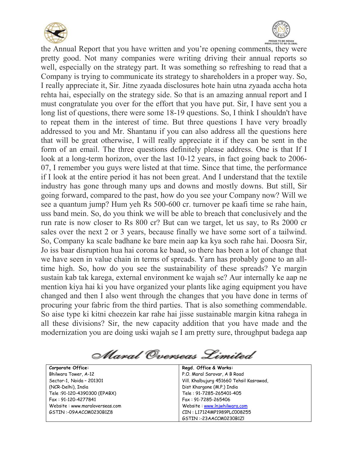



the Annual Report that you have written and you're opening comments, they were pretty good. Not many companies were writing driving their annual reports so well, especially on the strategy part. It was something so refreshing to read that a Company is trying to communicate its strategy to shareholders in a proper way. So, I really appreciate it, Sir*.* Jitne zyaada disclosures hote hain utna zyaada accha hota rehta hai, especially on the strategy side. So that is an amazing annual report and I must congratulate you over for the effort that you have put. Sir, I have sent you a long list of questions, there were some 18-19 questions. So, I think I shouldn't have to repeat them in the interest of time. But three questions I have very broadly addressed to you and Mr. Shantanu if you can also address all the questions here that will be great otherwise, I will really appreciate it if they can be sent in the form of an email. The three questions definitely please address. One is that If I look at a long-term horizon, over the last 10-12 years, in fact going back to 2006- 07, I remember you guys were listed at that time. Since that time, the performance if I look at the entire period it has not been great. And I understand that the textile industry has gone through many ups and downs and mostly downs. But still, Sir going forward, compared to the past, how do you see your Company now? Will we see a quantum jump? Hum yeh Rs 500-600 cr. turnover pe kaafi time se rahe hain, uss band mein. So, do you think we will be able to breach that conclusively and the run rate is now closer to Rs 800 cr? But can we target, let us say, to Rs 2000 cr sales over the next 2 or 3 years, because finally we have some sort of a tailwind. So, Company ka scale badhane ke bare mein aap ka kya soch rahe hai. Doosra Sir, Jo iss baar disruption hua hai corona ke baad, so there has been a lot of change that we have seen in value chain in terms of spreads. Yarn has probably gone to an alltime high. So, how do you see the sustainability of these spreads? Ye margin sustain kab tak karega, external environment ke wajah se? Aur internally ke aap ne mention kiya hai ki you have organized your plants like aging equipment you have changed and then I also went through the changes that you have done in terms of procuring your fabric from the third parties. That is also something commendable. So aise type ki kitni cheezein kar rahe hai jisse sustainable margin kitna rahega in all these divisions? Sir, the new capacity addition that you have made and the modernization you are doing uski wajah se I am pretty sure, throughput badega aap

Maral Overseas Limited

| Corporate Office:              | Regd. Office & Works:                    |
|--------------------------------|------------------------------------------|
| Bhilwara Tower, A-12           | P.O. Maral Sarovar, A B Road             |
| Sector-1, Noida - 201301       | Vill. Khalbujurg 451660 Tehsil Kasrawad, |
| (NCR-Delhi), India             | Dist Khargone (M.P.) India               |
| Tele: 91-120-4390300 (EPABX)   | Tele: 91-7285-265401-405                 |
| Fax: 91-120-4277841            | Fax: 91-7285-265406                      |
| Website: www.maraloverseas.com | Website: www.lnjwhilwara.com             |
| GSTIN:-09AACCM0230B1Z8         | CIN: L17124MP1989PLC008255               |
|                                | GSTIN:-23AACCM0230B1ZI                   |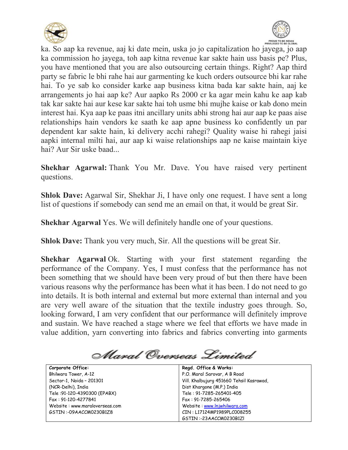



ka. So aap ka revenue, aaj ki date mein, uska jo jo capitalization ho jayega, jo aap ka commission ho jayega, toh aap kitna revenue kar sakte hain uss basis pe? Plus, you have mentioned that you are also outsourcing certain things. Right? Aap third party se fabric le bhi rahe hai aur garmenting ke kuch orders outsource bhi kar rahe hai. To ye sab ko consider karke aap business kitna bada kar sakte hain, aaj ke arrangements jo hai aap ke? Aur aapko Rs 2000 cr ka agar mein kahu ke aap kab tak kar sakte hai aur kese kar sakte hai toh usme bhi mujhe kaise or kab dono mein interest hai. Kya aap ke paas itni ancillary units abhi strong hai aur aap ke paas aise relationships hain vendors ke saath ke aap apne business ko confidently un par dependent kar sakte hain, ki delivery acchi rahegi? Quality waise hi rahegi jaisi aapki internal milti hai, aur aap ki waise relationships aap ne kaise maintain kiye hai? Aur Sir uske baad...

**Shekhar Agarwal:** Thank You Mr. Dave. You have raised very pertinent questions.

**Shlok Dave:** Agarwal Sir, Shekhar Ji, I have only one request. I have sent a long list of questions if somebody can send me an email on that, it would be great Sir.

**Shekhar Agarwal** Yes. We will definitely handle one of your questions.

**Shlok Dave:** Thank you very much, Sir. All the questions will be great Sir.

**Shekhar Agarwal** Ok. Starting with your first statement regarding the performance of the Company. Yes, I must confess that the performance has not been something that we should have been very proud of but then there have been various reasons why the performance has been what it has been. I do not need to go into details. It is both internal and external but more external than internal and you are very well aware of the situation that the textile industry goes through. So, looking forward, I am very confident that our performance will definitely improve and sustain. We have reached a stage where we feel that efforts we have made in value addition, yarn converting into fabrics and fabrics converting into garments

Maral Overseas Limited

| Corporate Office:              | Regd. Office & Works:                    |
|--------------------------------|------------------------------------------|
| Bhilwara Tower, A-12           | P.O. Maral Sarovar, A B Road             |
| Sector-1, Noida - 201301       | Vill. Khalbujurg 451660 Tehsil Kasrawad, |
| (NCR-Delhi), India             | Dist Khargone (M.P.) India               |
| Tele: 91-120-4390300 (EPABX)   | Tele: 91-7285-265401-405                 |
| Fax: 91-120-4277841            | Fax: 91-7285-265406                      |
| Website: www.maraloverseas.com | Website: www.lnjwhilwara.com             |
| GSTIN:-09AACCM0230B1Z8         | CIN: L17124MP1989PLC008255               |
|                                | GSTIN:-23AACCM0230B1ZI                   |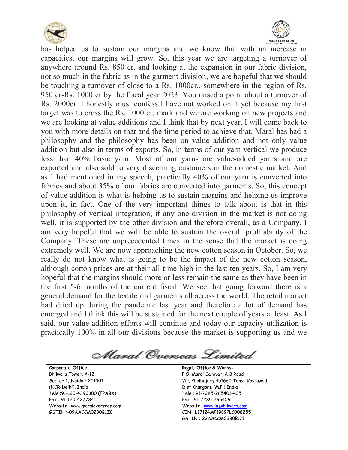



has helped us to sustain our margins and we know that with an increase in capacities, our margins will grow. So, this year we are targeting a turnover of anywhere around Rs. 850 cr. and looking at the expansion in our fabric division, not so much in the fabric as in the garment division, we are hopeful that we should be touching a turnover of close to a Rs. 1000cr., somewhere in the region of Rs. 950 cr-Rs. 1000 cr by the fiscal year 2023. You raised a point about a turnover of Rs. 2000cr. I honestly must confess I have not worked on it yet because my first target was to cross the Rs. 1000 cr. mark and we are working on new projects and we are looking at value additions and I think that by next year, I will come back to you with more details on that and the time period to achieve that. Maral has had a philosophy and the philosophy has been on value addition and not only value addition but also in terms of exports. So, in terms of our yarn vertical we produce less than 40% basic yarn. Most of our yarns are value-added yarns and are exported and also sold to very discerning customers in the domestic market. And as I had mentioned in my speech, practically 40% of our yarn is converted into fabrics and about 35% of our fabrics are converted into garments. So, this concept of value addition is what is helping us to sustain margins and helping us improve upon it, in fact. One of the very important things to talk about is that in this philosophy of vertical integration, if any one division in the market is not doing well, it is supported by the other division and therefore overall, as a Company, I am very hopeful that we will be able to sustain the overall profitability of the Company. These are unprecedented times in the sense that the market is doing extremely well. We are now approaching the new cotton season in October. So, we really do not know what is going to be the impact of the new cotton season, although cotton prices are at their all-time high in the last ten years. So, I am very hopeful that the margins should more or less remain the same as they have been in the first 5-6 months of the current fiscal. We see that going forward there is a general demand for the textile and garments all across the world. The retail market had dried up during the pandemic last year and therefore a lot of demand has emerged and I think this will be sustained for the next couple of years at least. As I said, our value addition efforts will continue and today our capacity utilization is practically 100% in all our divisions because the market is supporting us and we

Maral Overseas Limited

| Corporate Office:              | Regd. Office & Works:                    |
|--------------------------------|------------------------------------------|
| Bhilwara Tower, A-12           | P.O. Maral Sarovar, A B Road             |
| Sector-1, Noida - 201301       | Vill. Khalbujurg 451660 Tehsil Kasrawad, |
| (NCR-Delhi), India             | Dist Khargone (M.P.) India               |
| Tele: 91-120-4390300 (EPABX)   | Tele: 91-7285-265401-405                 |
| Fax: 91-120-4277841            | Fax: 91-7285-265406                      |
| Website: www.maraloverseas.com | Website: www.lnjwhilwara.com             |
| GSTIN:-09AACCM0230B1Z8         | CIN: L17124MP1989PLC008255               |
|                                | GSTIN:-23AACCM0230B1ZL                   |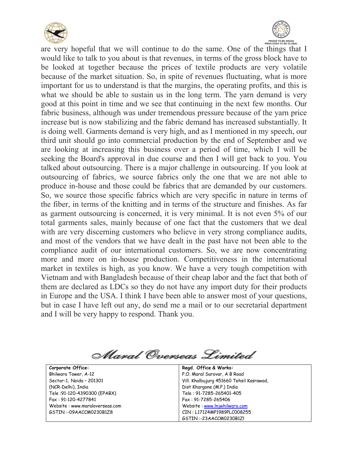



are very hopeful that we will continue to do the same. One of the things that I would like to talk to you about is that revenues, in terms of the gross block have to be looked at together because the prices of textile products are very volatile because of the market situation. So, in spite of revenues fluctuating, what is more important for us to understand is that the margins, the operating profits, and this is what we should be able to sustain us in the long term. The yarn demand is very good at this point in time and we see that continuing in the next few months. Our fabric business, although was under tremendous pressure because of the yarn price increase but is now stabilizing and the fabric demand has increased substantially. It is doing well. Garments demand is very high, and as I mentioned in my speech, our third unit should go into commercial production by the end of September and we are looking at increasing this business over a period of time, which I will be seeking the Board's approval in due course and then I will get back to you. You talked about outsourcing. There is a major challenge in outsourcing. If you look at outsourcing of fabrics, we source fabrics only the one that we are not able to produce in-house and those could be fabrics that are demanded by our customers. So, we source those specific fabrics which are very specific in nature in terms of the fiber, in terms of the knitting and in terms of the structure and finishes. As far as garment outsourcing is concerned, it is very minimal. It is not even 5% of our total garments sales, mainly because of one fact that the customers that we deal with are very discerning customers who believe in very strong compliance audits, and most of the vendors that we have dealt in the past have not been able to the compliance audit of our international customers. So, we are now concentrating more and more on in-house production. Competitiveness in the international market in textiles is high, as you know. We have a very tough competition with Vietnam and with Bangladesh because of their cheap labor and the fact that both of them are declared as LDCs so they do not have any import duty for their products in Europe and the USA. I think I have been able to answer most of your questions, but in case I have left out any, do send me a mail or to our secretarial department and I will be very happy to respond. Thank you.

Alaral Overseas Limited

**Corporate Office:** Bhilwara Tower, A-12 Sector-1, Noida – 201301 (NCR-Delhi), India Tele :91-120-4390300 (EPABX) Fax : 91-120-4277841 Website : www.maraloverseas.com GSTIN :-09AACCM0230B1Z8

**Regd. Office & Works:** P.O. Maral Sarovar, A B Road Vill. Khalbujurg 451660 Tehsil Kasrawad, Dist Khargone (M.P.) India Tele : 91-7285-265401-405 Fax : 91-7285-265406 Website : www.lnjwhilwara.com CIN : L17124MP1989PLC008255 GSTIN :-23AACCM0230B1Zl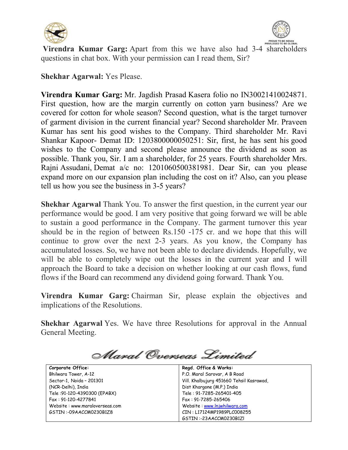



**Virendra Kumar Garg:** Apart from this we have also had 3-4 shareholders questions in chat box. With your permission can I read them, Sir?

**Shekhar Agarwal:** Yes Please.

**Virendra Kumar Garg:** Mr. Jagdish Prasad Kasera folio no IN30021410024871. First question, how are the margin currently on cotton yarn business? Are we covered for cotton for whole season? Second question, what is the target turnover of garment division in the current financial year? Second shareholder Mr. Praveen Kumar has sent his good wishes to the Company. Third shareholder Mr. Ravi Shankar Kapoor- Demat ID: 1203800000050251: Sir, first, he has sent his good wishes to the Company and second please announce the dividend as soon as possible. Thank you, Sir. I am a shareholder, for 25 years. Fourth shareholder Mrs. Rajni Assudani, Demat a/c no: 1201060500381981. Dear Sir, can you please expand more on our expansion plan including the cost on it? Also, can you please tell us how you see the business in 3-5 years?

**Shekhar Agarwal** Thank You. To answer the first question, in the current year our performance would be good. I am very positive that going forward we will be able to sustain a good performance in the Company. The garment turnover this year should be in the region of between Rs.150 -175 cr. and we hope that this will continue to grow over the next 2-3 years. As you know, the Company has accumulated losses. So, we have not been able to declare dividends. Hopefully, we will be able to completely wipe out the losses in the current year and I will approach the Board to take a decision on whether looking at our cash flows, fund flows if the Board can recommend any dividend going forward. Thank You.

**Virendra Kumar Garg:** Chairman Sir, please explain the objectives and implications of the Resolutions.

**Shekhar Agarwal** Yes. We have three Resolutions for approval in the Annual General Meeting.

Maral Overseas Limited

| Corporate Office:              | Regd. Office & Works:                    |
|--------------------------------|------------------------------------------|
| Bhilwara Tower, A-12           | P.O. Maral Sarovar, A B Road             |
| Sector-1, Noida - 201301       | Vill. Khalbujurg 451660 Tehsil Kasrawad, |
| (NCR-Delhi), India             | Dist Khargone (M.P.) India               |
| Tele: 91-120-4390300 (EPABX)   | Tele: 91-7285-265401-405                 |
| Fax: 91-120-4277841            | Fax: 91-7285-265406                      |
| Website: www.maraloverseas.com | Website: www.lnjwhilwara.com             |
| GSTIN:-09AACCM0230B1Z8         | CIN: L17124MP1989PLC008255               |
|                                | GSTIN:-23AACCM0230B1ZI                   |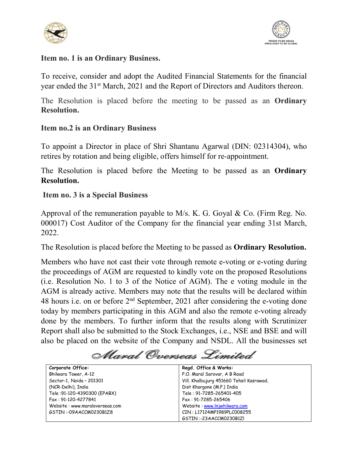



## **Item no. 1 is an Ordinary Business.**

To receive, consider and adopt the Audited Financial Statements for the financial year ended the 31<sup>st</sup> March, 2021 and the Report of Directors and Auditors thereon.

The Resolution is placed before the meeting to be passed as an **Ordinary Resolution.**

# **Item no.2 is an Ordinary Business**

To appoint a Director in place of Shri Shantanu Agarwal (DIN: 02314304), who retires by rotation and being eligible, offers himself for re-appointment.

The Resolution is placed before the Meeting to be passed as an **Ordinary Resolution.**

# **Item no. 3 is a Special Business**

Approval of the remuneration payable to M/s. K. G. Goyal & Co. (Firm Reg. No. 000017) Cost Auditor of the Company for the financial year ending 31st March, 2022.

The Resolution is placed before the Meeting to be passed as **Ordinary Resolution.**

Members who have not cast their vote through remote e-voting or e-voting during the proceedings of AGM are requested to kindly vote on the proposed Resolutions (i.e. Resolution No. 1 to 3 of the Notice of AGM). The e voting module in the AGM is already active. Members may note that the results will be declared within 48 hours i.e. on or before 2<sup>nd</sup> September, 2021 after considering the e-voting done today by members participating in this AGM and also the remote e-voting already done by the members. To further inform that the results along with Scrutinizer Report shall also be submitted to the Stock Exchanges, i.e., NSE and BSE and will also be placed on the website of the Company and NSDL. All the businesses set

Maral Overseas Limited

| Corporate Office:              | Regd. Office & Works:                    |
|--------------------------------|------------------------------------------|
| Bhilwara Tower, A-12           | P.O. Maral Sarovar, A B Road             |
| Sector-1, Noida - 201301       | Vill. Khalbujurg 451660 Tehsil Kasrawad, |
| (NCR-Delhi), India             | Dist Khargone (M.P.) India               |
| Tele: 91-120-4390300 (EPABX)   | Tele: 91-7285-265401-405                 |
| Fax: 91-120-4277841            | Fax: 91-7285-265406                      |
| Website: www.maraloverseas.com | Website: www.lnjwhilwara.com             |
| GSTIN:-09AACCM0230B1Z8         | CIN: L17124MP1989PLC008255               |
|                                | GSTIN:-23AACCM0230B1ZI                   |